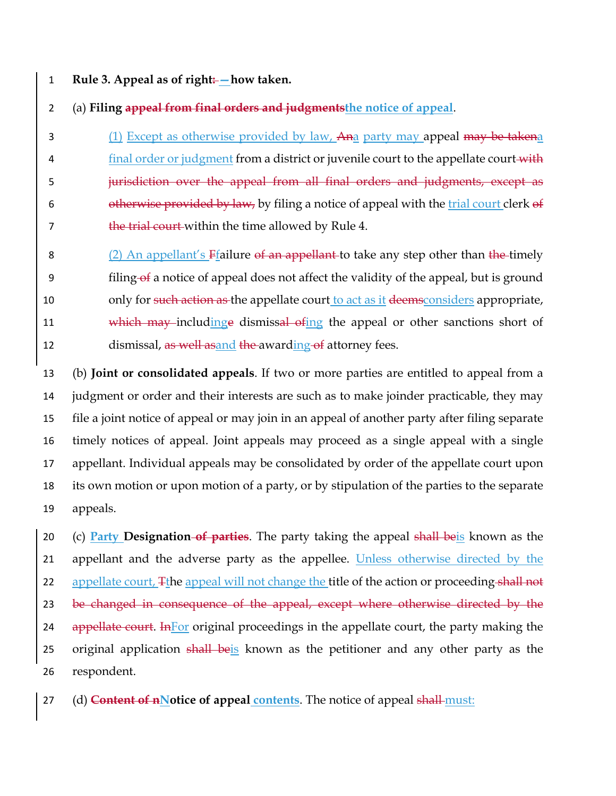1 **Rule 3. Appeal as of right: —how taken.**

2 (a) **Filing appeal from final orders and judgmentsthe notice of appeal**.

3 (1) Except as otherwise provided by law, Ana party may appeal may be takena 4 final order or judgment from a district or juvenile court to the appellate court with 5 **jurisdiction over the appeal from all final orders and judgments, except as** 6 otherwise provided by law, by filing a notice of appeal with the trial court clerk  $\theta$ f 7 the trial court within the time allowed by Rule 4.

8 (2) An appellant's  $F$ failure of an appellant to take any step other than the timely 9 filing of a notice of appeal does not affect the validity of the appeal, but is ground 10 only for such action as the appellate court to act as it deems considers appropriate, 11 which may including to dismissal of the appeal or other sanctions short of 12 dismissal, as well as and the awarding of attorney fees.

 (b) **Joint or consolidated appeals**. If two or more parties are entitled to appeal from a judgment or order and their interests are such as to make joinder practicable, they may file a joint notice of appeal or may join in an appeal of another party after filing separate timely notices of appeal. Joint appeals may proceed as a single appeal with a single appellant. Individual appeals may be consolidated by order of the appellate court upon its own motion or upon motion of a party, or by stipulation of the parties to the separate 19 appeals.

20 (c) **Party Designation of parties**. The party taking the appeal shall beis known as the 21 appellant and the adverse party as the appellee. Unless otherwise directed by the 22 appellate court, Tthe appeal will not change the title of the action or proceeding shall not 23 be changed in consequence of the appeal, except where otherwise directed by the 24 appellate court. In For original proceedings in the appellate court, the party making the 25 original application shall beis known as the petitioner and any other party as the 26 respondent.

27 (d) **Content of nNotice of appeal contents**. The notice of appeal shall must: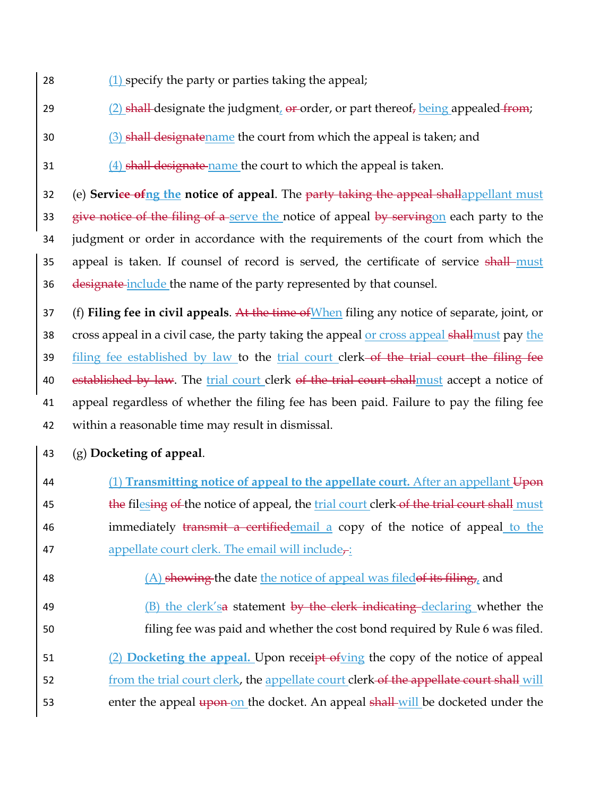- 28 (1) specify the party or parties taking the appeal;
- 29 (2) shall-designate the judgment,  $\theta$  **a** order, or part thereof, being appealed from;
- 30 (3) shall designatename the court from which the appeal is taken; and
- 31 (4) shall designate name the court to which the appeal is taken.

32 (e) **Service ofng the notice of appeal**. The party taking the appeal shallappellant must 33 give notice of the filing of a serve the notice of appeal by servingon each party to the 34 judgment or order in accordance with the requirements of the court from which the 35 appeal is taken. If counsel of record is served, the certificate of service shall must 36 designate include the name of the party represented by that counsel.

37 (f) **Filing fee in civil appeals**. At the time ofWhen filing any notice of separate, joint, or 38 cross appeal in a civil case, the party taking the appeal or cross appeal shallmust pay the 39 filing fee established by law to the trial court clerk-of the trial court the filing fee 40 established by law. The trial court clerk of the trial court shallmust accept a notice of 41 appeal regardless of whether the filing fee has been paid. Failure to pay the filing fee 42 within a reasonable time may result in dismissal.

- 43 (g) **Docketing of appeal**.
- 44 (1) **Transmitting notice of appeal to the appellate court.** After an appellant Upon 45 the filesing of the notice of appeal, the trial court clerk of the trial court shall must 46 immediately transmit a certified email a copy of the notice of appeal to the 47 appellate court clerk. The email will include $\tau$ :
- 48 (A) showing the date the notice of appeal was filed of its filing, and
- 49 (B) the clerk's a statement by the clerk indicating declaring whether the 50 filing fee was paid and whether the cost bond required by Rule 6 was filed.
- 51 (2) **Docketing the appeal.** Upon receipt ofving the copy of the notice of appeal
- 52 from the trial court clerk, the appellate court clerk of the appellate court shall will
- 53 enter the appeal upon on the docket. An appeal shall will be docketed under the